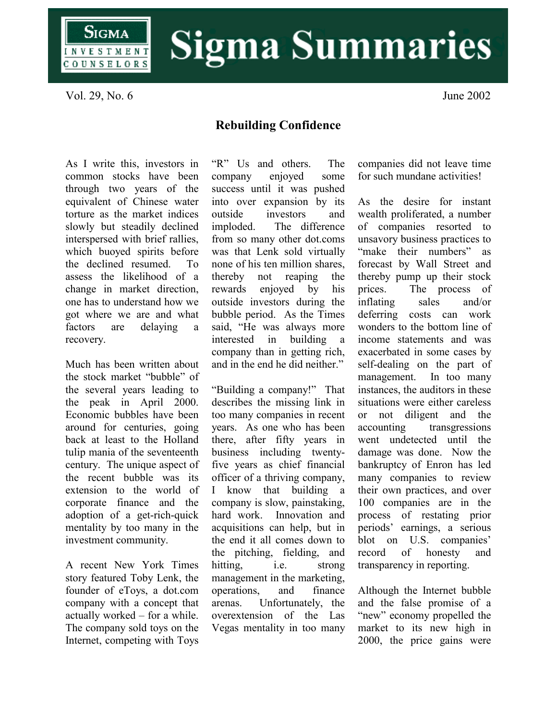

## **Sigma Summaries**

Vol. 29, No. 6 June 2002

## **Rebuilding Confidence**

As I write this, investors in common stocks have been through two years of the equivalent of Chinese water torture as the market indices slowly but steadily declined interspersed with brief rallies, which buoyed spirits before the declined resumed. To assess the likelihood of a change in market direction, one has to understand how we got where we are and what factors are delaying a recovery.

Much has been written about the stock market "bubble" of the several years leading to the peak in April 2000. Economic bubbles have been around for centuries, going back at least to the Holland tulip mania of the seventeenth century. The unique aspect of the recent bubble was its extension to the world of corporate finance and the adoption of a get-rich-quick mentality by too many in the investment community.

A recent New York Times story featured Toby Lenk, the founder of eToys, a dot.com company with a concept that actually worked – for a while. The company sold toys on the Internet, competing with Toys

"R" Us and others. The company enjoyed some success until it was pushed into over expansion by its outside investors and imploded. The difference from so many other dot.coms was that Lenk sold virtually none of his ten million shares, thereby not reaping the rewards enjoyed by his outside investors during the bubble period. As the Times said, "He was always more interested in building a company than in getting rich, and in the end he did neither."

"Building a company!" That describes the missing link in too many companies in recent years. As one who has been there, after fifty years in business including twentyfive years as chief financial officer of a thriving company, I know that building a company is slow, painstaking, hard work. Innovation and acquisitions can help, but in the end it all comes down to the pitching, fielding, and hitting, i.e. strong management in the marketing, operations, and finance arenas. Unfortunately, the overextension of the Las Vegas mentality in too many companies did not leave time for such mundane activities!

As the desire for instant wealth proliferated, a number of companies resorted to unsavory business practices to "make their numbers" as forecast by Wall Street and thereby pump up their stock prices. The process of inflating sales and/or deferring costs can work wonders to the bottom line of income statements and was exacerbated in some cases by self-dealing on the part of management. In too many instances, the auditors in these situations were either careless or not diligent and the accounting transgressions went undetected until the damage was done. Now the bankruptcy of Enron has led many companies to review their own practices, and over 100 companies are in the process of restating prior periods' earnings, a serious blot on U.S. companies' record of honesty and transparency in reporting.

Although the Internet bubble and the false promise of a "new" economy propelled the market to its new high in 2000, the price gains were